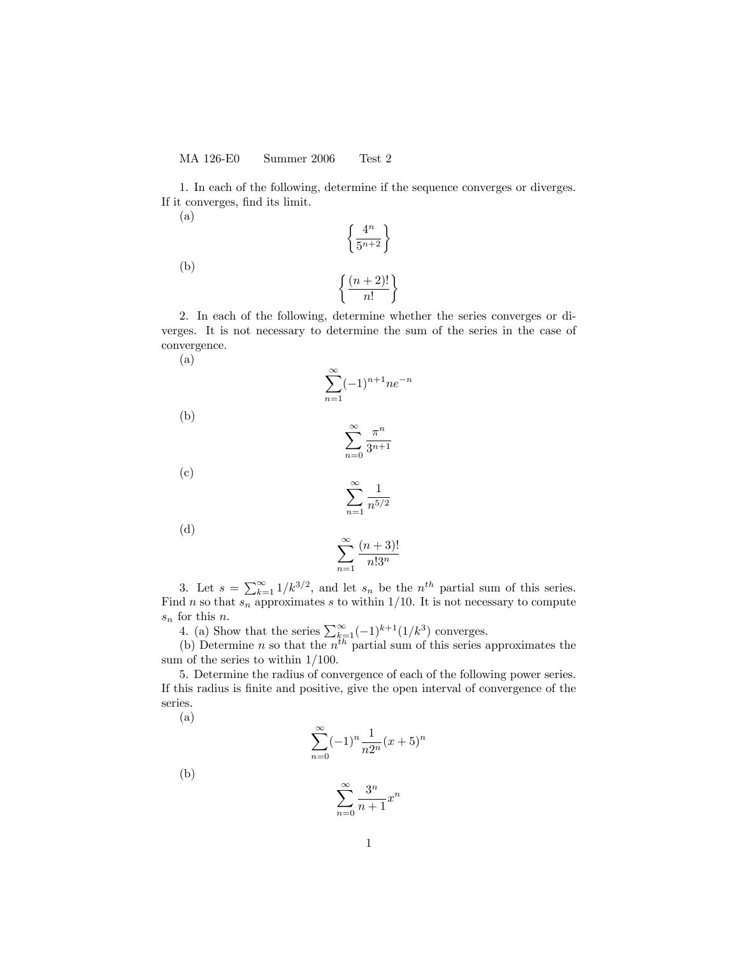1. In each of the following, determine if the sequence converges or diverges. If it converges, find its limit.

> $\int 4^n$  $\frac{4^n}{5^{n+2}}$

(a)

(b)

$$
\left\{\frac{(n+2)!}{n!}\right\}
$$

2. In each of the following, determine whether the series converges or diverges. It is not necessary to determine the sum of the series in the case of convergence.

$$
(a)
$$

$$
\sum_{n=1}^{\infty} (-1)^{n+1} n e^{-n}
$$

 $\infty$ 

(b)

$$
\sum_{n=0}^{\infty} \frac{\pi^n}{3^{n+1}}
$$

(c)

$$
\sum_{n=1}^\infty \frac{1}{n^{5/2}}
$$

(d)

$$
\sum_{n=1}^{\infty} \frac{(n+3)!}{n!3^n}
$$

3. Let  $s = \sum_{k=1}^{\infty} 1/k^{3/2}$ , and let  $s_n$  be the  $n^{th}$  partial sum of this series. Find n so that  $s_n$  approximates s to within 1/10. It is not necessary to compute  $s_n$  for this *n*.

4. (a) Show that the series  $\sum_{k=1}^{\infty}(-1)^{k+1}(1/k^3)$  converges.

(b) Determine *n* so that the  $n^{th}$  partial sum of this series approximates the sum of the series to within  $1/100$ .

5. Determine the radius of convergence of each of the following power series. If this radius is finite and positive, give the open interval of convergence of the series.

(a)

$$
\sum_{n=0}^{\infty} (-1)^n \frac{1}{n2^n} (x+5)^n
$$

(b)

$$
\sum_{n=0}^{\infty} \frac{3^n}{n+1} x^n
$$